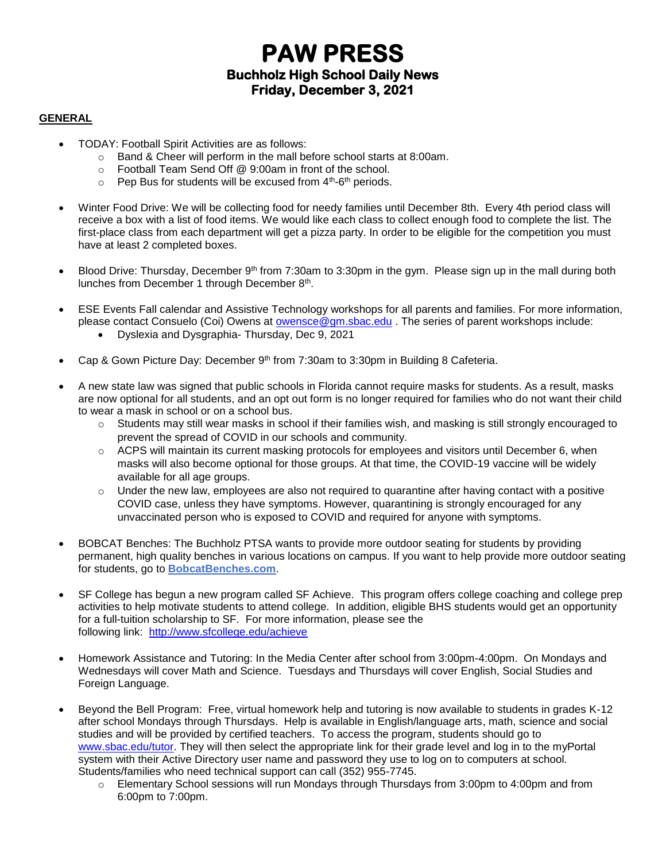# **PAW PRESS Buchholz High School Daily News Friday, December 3, 2021**

#### **GENERAL**

- TODAY: Football Spirit Activities are as follows:
	- o Band & Cheer will perform in the mall before school starts at 8:00am.
	- o Football Team Send Off @ 9:00am in front of the school.
	- $\circ$  Pep Bus for students will be excused from  $4<sup>th</sup>$ -6<sup>th</sup> periods.
- Winter Food Drive: We will be collecting food for needy families until December 8th. Every 4th period class will receive a box with a list of food items. We would like each class to collect enough food to complete the list. The first-place class from each department will get a pizza party. In order to be eligible for the competition you must have at least 2 completed boxes.
- Blood Drive: Thursday, December 9<sup>th</sup> from 7:30am to 3:30pm in the gym. Please sign up in the mall during both lunches from December 1 through December 8<sup>th</sup>.
- ESE Events Fall calendar and Assistive Technology workshops for all parents and families. For more information, please contact Consuelo (Coi) Owens at owensce @gm.sbac.edu . The series of parent workshops include:
	- Dyslexia and Dysgraphia- Thursday, Dec 9, 2021
- Cap & Gown Picture Day: December 9<sup>th</sup> from 7:30am to 3:30pm in Building 8 Cafeteria.
- A new state law was signed that public schools in Florida cannot require masks for students. As a result, masks are now optional for all students, and an opt out form is no longer required for families who do not want their child to wear a mask in school or on a school bus.
	- o Students may still wear masks in school if their families wish, and masking is still strongly encouraged to prevent the spread of COVID in our schools and community.
	- $\circ$  ACPS will maintain its current masking protocols for employees and visitors until December 6, when masks will also become optional for those groups. At that time, the COVID-19 vaccine will be widely available for all age groups.
	- $\circ$  Under the new law, employees are also not required to quarantine after having contact with a positive COVID case, unless they have symptoms. However, quarantining is strongly encouraged for any unvaccinated person who is exposed to COVID and required for anyone with symptoms.
- BOBCAT Benches: The Buchholz PTSA wants to provide more outdoor seating for students by providing permanent, high quality benches in various locations on campus. If you want to help provide more outdoor seating for students, go to **[BobcatBenches.com](http://m7scym5f.r.us-east-1.awstrack.me/L0/www.BobcatBenches.com/1/0100017ceda7ad53-510fabd6-46b5-450d-8db7-465f7dc345a6-000000/xq-u89zrwmCi4EaO1eJtbniMGCs=243)**.
- SF College has begun a new program called SF Achieve. This program offers college coaching and college prep activities to help motivate students to attend college. In addition, eligible BHS students would get an opportunity for a full-tuition scholarship to SF. For more information, please see the following link: <http://www.sfcollege.edu/achieve>
- Homework Assistance and Tutoring: In the Media Center after school from 3:00pm-4:00pm. On Mondays and Wednesdays will cover Math and Science. Tuesdays and Thursdays will cover English, Social Studies and Foreign Language.
- Beyond the Bell Program: Free, virtual homework help and tutoring is now available to students in grades K-12 after school Mondays through Thursdays. Help is available in English/language arts, math, science and social studies and will be provided by certified teachers. To access the program, students should go to [www.sbac.edu/tutor.](http://www.sbac.edu/tutor) They will then select the appropriate link for their grade level and log in to the myPortal system with their Active Directory user name and password they use to log on to computers at school. Students/families who need technical support can call (352) 955-7745.
	- $\circ$  Elementary School sessions will run Mondays through Thursdays from 3:00pm to 4:00pm and from 6:00pm to 7:00pm.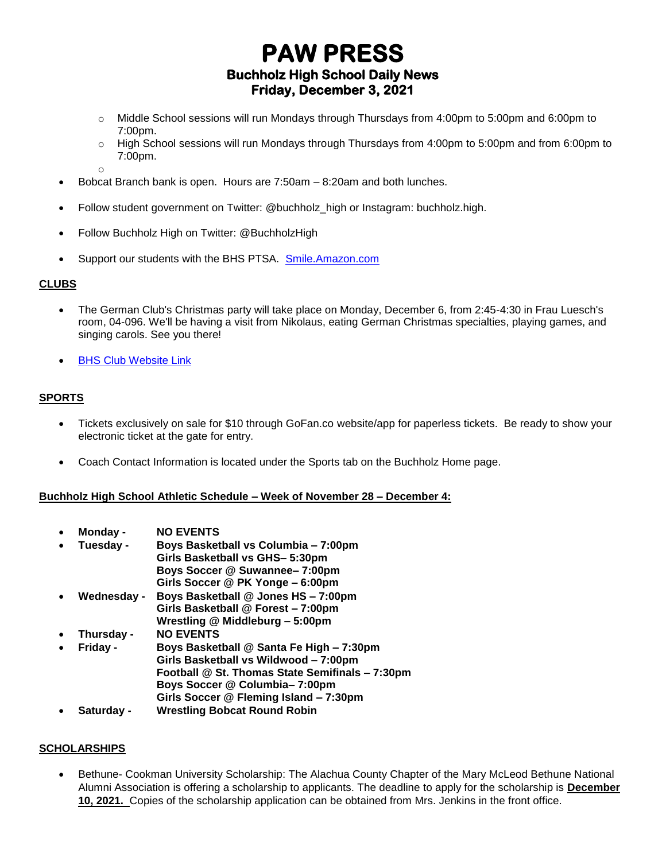## **PAW PRESS Buchholz High School Daily News Friday, December 3, 2021**

- o Middle School sessions will run Mondays through Thursdays from 4:00pm to 5:00pm and 6:00pm to 7:00pm.
- o High School sessions will run Mondays through Thursdays from 4:00pm to 5:00pm and from 6:00pm to 7:00pm.
- Bobcat Branch bank is open. Hours are 7:50am 8:20am and both lunches.
- Follow student government on Twitter: @buchholz\_high or Instagram: buchholz.high.
- Follow Buchholz High on Twitter: @BuchholzHigh
- Support our students with the BHS PTSA. [Smile.Amazon.com](http://smile.amazon.com/)

### **CLUBS**

- The German Club's Christmas party will take place on Monday, December 6, from 2:45-4:30 in Frau Luesch's room, 04-096. We'll be having a visit from Nikolaus, eating German Christmas specialties, playing games, and singing carols. See you there!
- **[BHS Club Website Link](https://www.sbac.edu/domain/1650)**

o

### **SPORTS**

- Tickets exclusively on sale for \$10 through GoFan.co website/app for paperless tickets. Be ready to show your electronic ticket at the gate for entry.
- Coach Contact Information is located under the Sports tab on the Buchholz Home page.

#### **Buchholz High School Athletic Schedule – Week of November 28 – December 4:**

- **Monday - NO EVENTS**
- **Tuesday - Boys Basketball vs Columbia – 7:00pm Girls Basketball vs GHS– 5:30pm Boys Soccer @ Suwannee– 7:00pm**
- **Girls Soccer @ PK Yonge – 6:00pm** • **Wednesday - Boys Basketball @ Jones HS – 7:00pm Girls Basketball @ Forest – 7:00pm Wrestling @ Middleburg – 5:00pm**
- **Thursday - NO EVENTS**
- **Friday - Boys Basketball @ Santa Fe High – 7:30pm Girls Basketball vs Wildwood – 7:00pm Football @ St. Thomas State Semifinals – 7:30pm Boys Soccer @ Columbia– 7:00pm Girls Soccer @ Fleming Island – 7:30pm**
- **Saturday - Wrestling Bobcat Round Robin**

### **SCHOLARSHIPS**

• Bethune- Cookman University Scholarship: The Alachua County Chapter of the Mary McLeod Bethune National Alumni Association is offering a scholarship to applicants. The deadline to apply for the scholarship is **December 10, 2021.** Copies of the scholarship application can be obtained from Mrs. Jenkins in the front office.